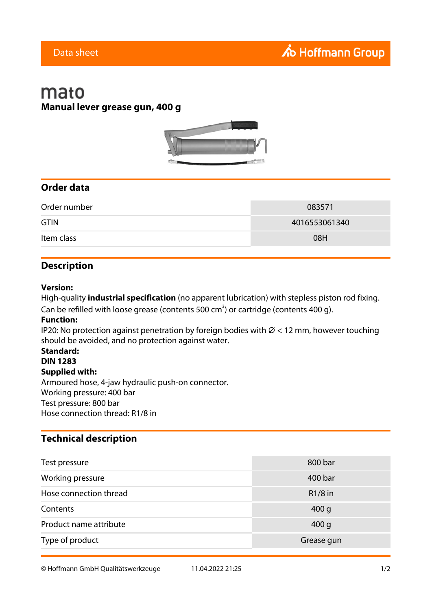# mato **Manual lever grease gun, 400 g**



### **Order data**

| Order number | 083571        |
|--------------|---------------|
| <b>GTIN</b>  | 4016553061340 |
| Item class   | 08H           |

### **Description**

#### **Version:**

High-quality **industrial specification** (no apparent lubrication) with stepless piston rod fixing. Can be refilled with loose grease (contents 500 cm<sup>3</sup>) or cartridge (contents 400 g).

#### **Function:**

IP20: No protection against penetration by foreign bodies with  $\varnothing$  < 12 mm, however touching should be avoided, and no protection against water.

## **Standard:**

**DIN 1283**

### **Supplied with:**

Armoured hose, 4-jaw hydraulic push-on connector. Working pressure: 400 bar Test pressure: 800 bar Hose connection thread: R1/8 in

### **Technical description**

| Test pressure          | 800 bar          |
|------------------------|------------------|
| Working pressure       | 400 bar          |
| Hose connection thread | $R1/8$ in        |
| Contents               | 400 <sub>g</sub> |
| Product name attribute | 400 <sub>g</sub> |
| Type of product        | Grease gun       |